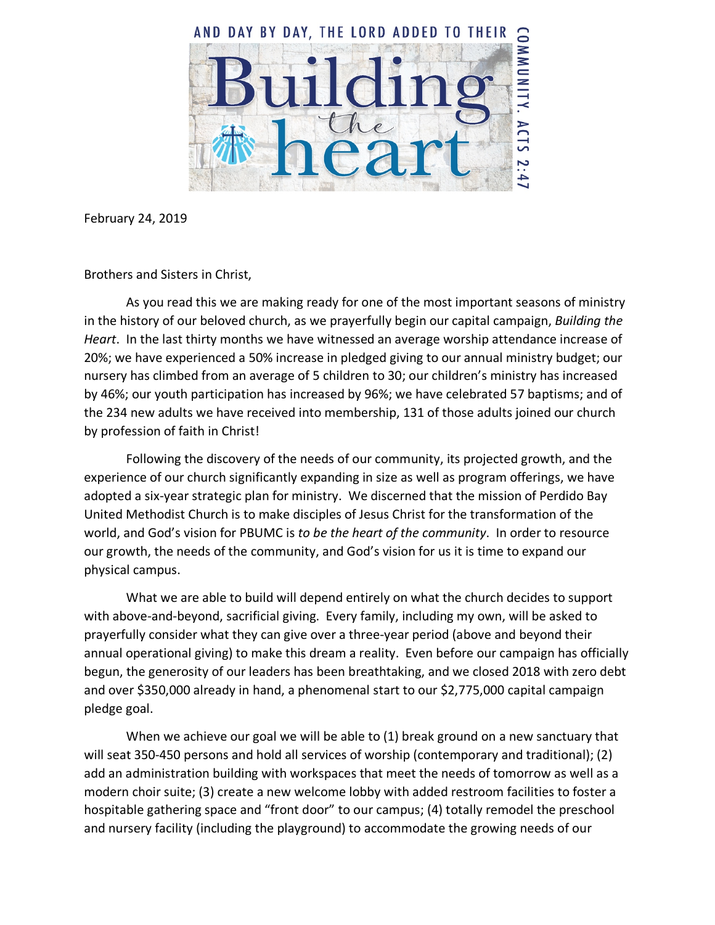

February 24, 2019

Brothers and Sisters in Christ,

As you read this we are making ready for one of the most important seasons of ministry in the history of our beloved church, as we prayerfully begin our capital campaign, *Building the Heart*. In the last thirty months we have witnessed an average worship attendance increase of 20%; we have experienced a 50% increase in pledged giving to our annual ministry budget; our nursery has climbed from an average of 5 children to 30; our children's ministry has increased by 46%; our youth participation has increased by 96%; we have celebrated 57 baptisms; and of the 234 new adults we have received into membership, 131 of those adults joined our church by profession of faith in Christ!

Following the discovery of the needs of our community, its projected growth, and the experience of our church significantly expanding in size as well as program offerings, we have adopted a six-year strategic plan for ministry. We discerned that the mission of Perdido Bay United Methodist Church is to make disciples of Jesus Christ for the transformation of the world, and God's vision for PBUMC is *to be the heart of the community*. In order to resource our growth, the needs of the community, and God's vision for us it is time to expand our physical campus.

What we are able to build will depend entirely on what the church decides to support with above-and-beyond, sacrificial giving. Every family, including my own, will be asked to prayerfully consider what they can give over a three-year period (above and beyond their annual operational giving) to make this dream a reality. Even before our campaign has officially begun, the generosity of our leaders has been breathtaking, and we closed 2018 with zero debt and over \$350,000 already in hand, a phenomenal start to our \$2,775,000 capital campaign pledge goal.

When we achieve our goal we will be able to (1) break ground on a new sanctuary that will seat 350-450 persons and hold all services of worship (contemporary and traditional); (2) add an administration building with workspaces that meet the needs of tomorrow as well as a modern choir suite; (3) create a new welcome lobby with added restroom facilities to foster a hospitable gathering space and "front door" to our campus; (4) totally remodel the preschool and nursery facility (including the playground) to accommodate the growing needs of our